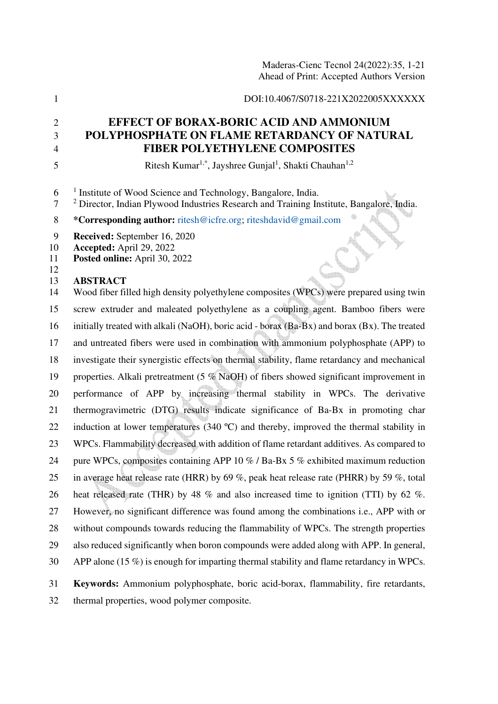### 1 DOI:10.4067/S0718-221X2022005XXXXXX

# 2 **EFFECT OF BORAX-BORIC ACID AND AMMONIUM**  3 **POLYPHOSPHATE ON FLAME RETARDANCY OF NATURAL**  4 **FIBER POLYETHYLENE COMPOSITES**

Ritesh Kumar1,\*, Jayshree Gunjal<sup>1</sup> , Shakti Chauhan1,2 5

| 6 | <sup>1</sup> Institute of Wood Science and Technology, Bangalore, India. |  |  |  |  |
|---|--------------------------------------------------------------------------|--|--|--|--|
|---|--------------------------------------------------------------------------|--|--|--|--|

<sup>2</sup> Director, Indian Plywood Industries Research and Training Institute, Bangalore, India.

8 **\*Corresponding author:** ritesh@icfre.org; riteshdavid@gmail.com

9 **Received:** September 16, 2020

10 **Accepted:** April 29, 2022

11 **Posted online:** April 30, 2022

## 12

## 13 **ABSTRACT**

14 Wood fiber filled high density polyethylene composites (WPCs) were prepared using twin 15 screw extruder and maleated polyethylene as a coupling agent. Bamboo fibers were 16 initially treated with alkali (NaOH), boric acid - borax (Ba-Bx) and borax (Bx). The treated 17 and untreated fibers were used in combination with ammonium polyphosphate (APP) to 18 investigate their synergistic effects on thermal stability, flame retardancy and mechanical 19 properties. Alkali pretreatment (5 % NaOH) of fibers showed significant improvement in 20 performance of APP by increasing thermal stability in WPCs. The derivative 21 thermogravimetric (DTG) results indicate significance of Ba-Bx in promoting char 22 induction at lower temperatures (340 °C) and thereby, improved the thermal stability in 23 WPCs. Flammability decreased with addition of flame retardant additives. As compared to 24 pure WPCs, composites containing APP 10 % / Ba-Bx 5 % exhibited maximum reduction 25 in average heat release rate (HRR) by 69 %, peak heat release rate (PHRR) by 59 %, total 26 heat released rate (THR) by 48 % and also increased time to ignition (TTI) by 62 %. 27 However, no significant difference was found among the combinations i.e., APP with or 28 without compounds towards reducing the flammability of WPCs. The strength properties 29 also reduced significantly when boron compounds were added along with APP. In general, 30 APP alone (15 %) is enough for imparting thermal stability and flame retardancy in WPCs. 31 **Keywords:** Ammonium polyphosphate, boric acid-borax, flammability, fire retardants,

32 thermal properties, wood polymer composite.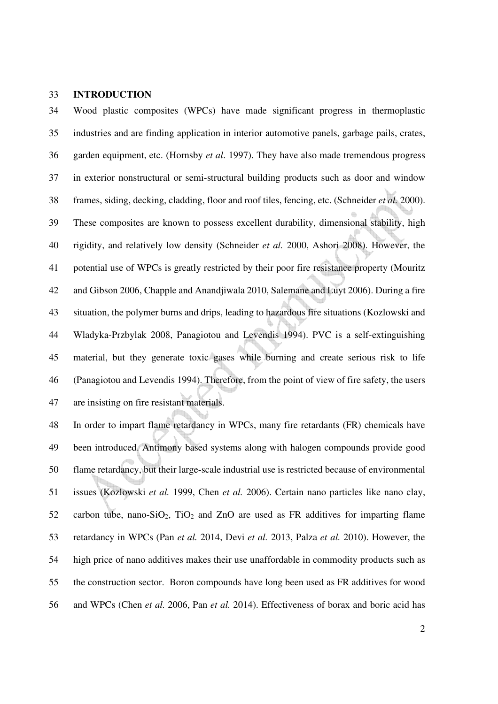### 33 **INTRODUCTION**

34 Wood plastic composites (WPCs) have made significant progress in thermoplastic 35 industries and are finding application in interior automotive panels, garbage pails, crates, 36 garden equipment, etc. (Hornsby *et al*. 1997). They have also made tremendous progress 37 in exterior nonstructural or semi-structural building products such as door and window 38 frames, siding, decking, cladding, floor and roof tiles, fencing, etc. (Schneider *et al.* 2000). 39 These composites are known to possess excellent durability, dimensional stability, high 40 rigidity, and relatively low density (Schneider *et al.* 2000, Ashori 2008). However, the 41 potential use of WPCs is greatly restricted by their poor fire resistance property (Mouritz 42 and Gibson 2006, Chapple and Anandjiwala 2010, Salemane and Luyt 2006). During a fire 43 situation, the polymer burns and drips, leading to hazardous fire situations (Kozlowski and 44 Wladyka-Przbylak 2008, Panagiotou and Levendis 1994). PVC is a self-extinguishing 45 material, but they generate toxic gases while burning and create serious risk to life 46 (Panagiotou and Levendis 1994). Therefore, from the point of view of fire safety, the users 47 are insisting on fire resistant materials.

48 In order to impart flame retardancy in WPCs, many fire retardants (FR) chemicals have 49 been introduced. Antimony based systems along with halogen compounds provide good 50 flame retardancy, but their large-scale industrial use is restricted because of environmental 51 issues (Kozlowski *et al.* 1999, Chen *et al.* 2006). Certain nano particles like nano clay, 52 carbon tube, nano-SiO2, TiO2 and ZnO are used as FR additives for imparting flame 53 retardancy in WPCs (Pan *et al.* 2014, Devi *et al.* 2013, Palza *et al.* 2010). However, the 54 high price of nano additives makes their use unaffordable in commodity products such as 55 the construction sector. Boron compounds have long been used as FR additives for wood 56 and WPCs (Chen *et al.* 2006, Pan *et al.* 2014). Effectiveness of borax and boric acid has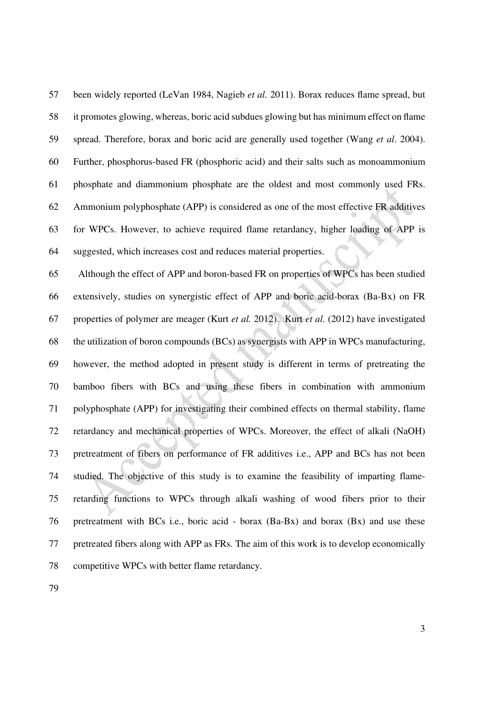57 been widely reported (LeVan 1984, Nagieb *et al.* 2011). Borax reduces flame spread, but 58 it promotes glowing, whereas, boric acid subdues glowing but has minimum effect on flame 59 spread. Therefore, borax and boric acid are generally used together (Wang *et al*. 2004). 60 Further, phosphorus-based FR (phosphoric acid) and their salts such as monoammonium 61 phosphate and diammonium phosphate are the oldest and most commonly used FRs. 62 Ammonium polyphosphate (APP) is considered as one of the most effective FR additives 63 for WPCs. However, to achieve required flame retardancy, higher loading of APP is 64 suggested, which increases cost and reduces material properties.

65 Although the effect of APP and boron-based FR on properties of WPCs has been studied 66 extensively, studies on synergistic effect of APP and boric acid-borax (Ba-Bx) on FR 67 properties of polymer are meager (Kurt *et al.* 2012). Kurt *et al.* (2012) have investigated 68 the utilization of boron compounds (BCs) as synergists with APP in WPCs manufacturing, 69 however, the method adopted in present study is different in terms of pretreating the 70 bamboo fibers with BCs and using these fibers in combination with ammonium 71 polyphosphate (APP) for investigating their combined effects on thermal stability, flame 72 retardancy and mechanical properties of WPCs. Moreover, the effect of alkali (NaOH) 73 pretreatment of fibers on performance of FR additives i.e., APP and BCs has not been 74 studied. The objective of this study is to examine the feasibility of imparting flame-75 retarding functions to WPCs through alkali washing of wood fibers prior to their 76 pretreatment with BCs i.e., boric acid - borax (Ba-Bx) and borax (Bx) and use these 77 pretreated fibers along with APP as FRs. The aim of this work is to develop economically 78 competitive WPCs with better flame retardancy.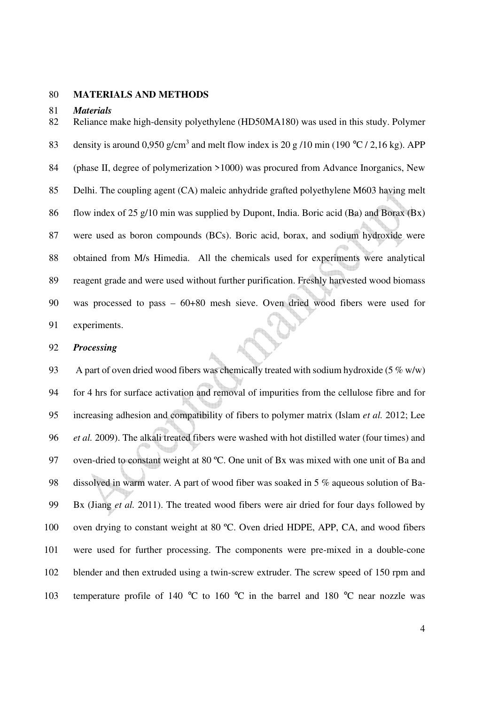### 80 **MATERIALS AND METHODS**

#### 81 *Materials*

82 Reliance make high-density polyethylene (HD50MA180) was used in this study. Polymer 83 density is around 0,950 g/cm<sup>3</sup> and melt flow index is 20 g /10 min (190 °C / 2,16 kg). APP 84 (phase II, degree of polymerization >1000) was procured from Advance Inorganics, New 85 Delhi. The coupling agent (CA) maleic anhydride grafted polyethylene M603 having melt 86 flow index of 25 g/10 min was supplied by Dupont, India. Boric acid (Ba) and Borax (Bx) 87 were used as boron compounds (BCs). Boric acid, borax, and sodium hydroxide were 88 obtained from M/s Himedia. All the chemicals used for experiments were analytical 89 reagent grade and were used without further purification. Freshly harvested wood biomass 90 was processed to pass – 60+80 mesh sieve. Oven dried wood fibers were used for 91 experiments.

#### 92 *Processing*

93 A part of oven dried wood fibers was chemically treated with sodium hydroxide (5  $\%$  w/w) 94 for 4 hrs for surface activation and removal of impurities from the cellulose fibre and for 95 increasing adhesion and compatibility of fibers to polymer matrix (Islam *et al.* 2012; Lee 96 *et al.* 2009). The alkali treated fibers were washed with hot distilled water (four times) and 97 oven-dried to constant weight at 80 °C. One unit of Bx was mixed with one unit of Ba and 98 dissolved in warm water. A part of wood fiber was soaked in 5 % aqueous solution of Ba-99 Bx (Jiang *et al.* 2011). The treated wood fibers were air dried for four days followed by 100 oven drying to constant weight at 80 °C. Oven dried HDPE, APP, CA, and wood fibers 101 were used for further processing. The components were pre-mixed in a double-cone 102 blender and then extruded using a twin-screw extruder. The screw speed of 150 rpm and 103 temperature profile of 140 °C to 160 °C in the barrel and 180 °C near nozzle was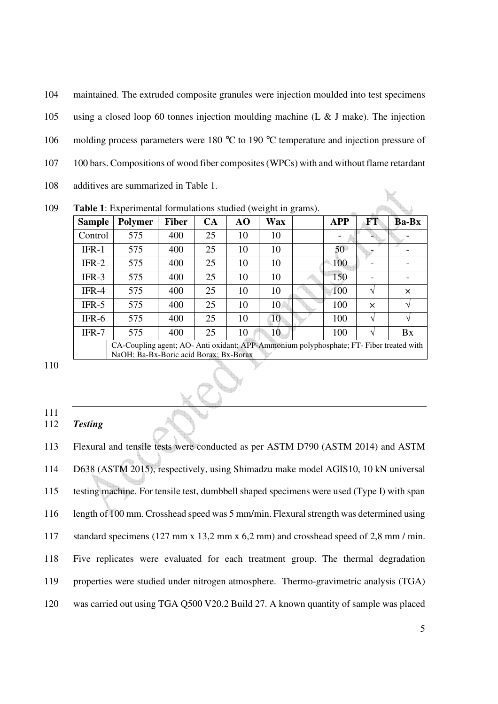| 104 | maintained. The extruded composite granules were injection moulded into test specimens                     |
|-----|------------------------------------------------------------------------------------------------------------|
| 105 | using a closed loop 60 tonnes injection moulding machine (L & J make). The injection                       |
| 106 | molding process parameters were 180 $^{\circ}$ C to 190 $^{\circ}$ C temperature and injection pressure of |
| 107 | 100 bars. Compositions of wood fiber composites (WPCs) with and without flame retardant                    |
| 108 | additives are summarized in Table 1.                                                                       |
| 109 | <b>Table 1:</b> Experimental formulations studied (weight in grams).                                       |

109 **Table 1**: Experimental formulations studied (weight in grams).

| ັ             |                                                                                                                                 |              |    |    |            |  |            |            |              |  |
|---------------|---------------------------------------------------------------------------------------------------------------------------------|--------------|----|----|------------|--|------------|------------|--------------|--|
| <b>Sample</b> | Polymer                                                                                                                         | <b>Fiber</b> | CA | AO | <b>Wax</b> |  | <b>APP</b> | <b>FT</b>  | <b>Ba-Bx</b> |  |
| Control       | 575                                                                                                                             | 400          | 25 | 10 | 10         |  |            |            |              |  |
| $IFR-1$       | 575                                                                                                                             | 400          | 25 | 10 | 10         |  | 50         |            |              |  |
| $IFR-2$       | 575                                                                                                                             | 400          | 25 | 10 | 10         |  | 100        |            |              |  |
| $IFR-3$       | 575                                                                                                                             | 400          | 25 | 10 | 10         |  | 150        |            |              |  |
| $IFR-4$       | 575                                                                                                                             | 400          | 25 | 10 | 10         |  | 100        | N          | $\times$     |  |
| $IFR-5$       | 575                                                                                                                             | 400          | 25 | 10 | 10         |  | 100        | $\times$   |              |  |
| $IFR-6$       | 575                                                                                                                             | 400          | 25 | 10 | 10         |  | 100        | $\sqrt{ }$ |              |  |
| $IFR-7$       | 575                                                                                                                             | 400          | 25 | 10 | 10         |  | 100        |            | Bx           |  |
|               | CA-Coupling agent; AO-Anti oxidant; APP-Ammonium polyphosphate; FT-Fiber treated with<br>NaOH; Ba-Bx-Boric acid Borax; Bx-Borax |              |    |    |            |  |            |            |              |  |

110

111

## 112 *Testing*

113 Flexural and tensile tests were conducted as per ASTM D790 (ASTM 2014) and ASTM 114 D638 (ASTM 2015), respectively, using Shimadzu make model AGIS10, 10 kN universal 115 testing machine. For tensile test, dumbbell shaped specimens were used (Type I) with span 116 length of 100 mm. Crosshead speed was 5 mm/min. Flexural strength was determined using 117 standard specimens (127 mm x 13,2 mm x 6,2 mm) and crosshead speed of 2,8 mm / min. 118 Five replicates were evaluated for each treatment group. The thermal degradation 119 properties were studied under nitrogen atmosphere. Thermo-gravimetric analysis (TGA) 120 was carried out using TGA Q500 V20.2 Build 27. A known quantity of sample was placed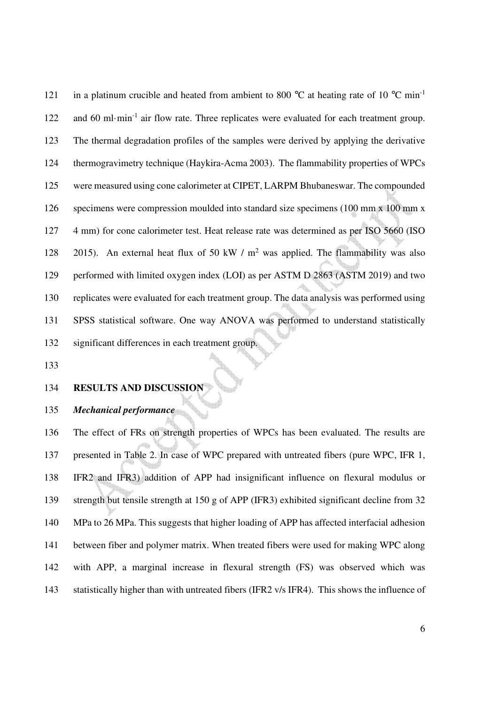121 in a platinum crucible and heated from ambient to 800  $^{\circ}$ C at heating rate of 10  $^{\circ}$ C min<sup>-1</sup> 122 and 60 ml·min<sup>-1</sup> air flow rate. Three replicates were evaluated for each treatment group. 123 The thermal degradation profiles of the samples were derived by applying the derivative 124 thermogravimetry technique (Haykira-Acma 2003). The flammability properties of WPCs 125 were measured using cone calorimeter at CIPET, LARPM Bhubaneswar. The compounded 126 specimens were compression moulded into standard size specimens (100 mm x 100 mm x 127 4 mm) for cone calorimeter test. Heat release rate was determined as per ISO 5660 (ISO 128 2015). An external heat flux of 50 kW /  $m^2$  was applied. The flammability was also 129 performed with limited oxygen index (LOI) as per ASTM D 2863 (ASTM 2019) and two 130 replicates were evaluated for each treatment group. The data analysis was performed using 131 SPSS statistical software. One way ANOVA was performed to understand statistically 132 significant differences in each treatment group.

133

## 134 **RESULTS AND DISCUSSION**

135 *Mechanical performance* 

136 The effect of FRs on strength properties of WPCs has been evaluated. The results are 137 presented in Table 2. In case of WPC prepared with untreated fibers (pure WPC, IFR 1, 138 IFR2 and IFR3) addition of APP had insignificant influence on flexural modulus or 139 strength but tensile strength at 150 g of APP (IFR3) exhibited significant decline from 32 140 MPa to 26 MPa. This suggests that higher loading of APP has affected interfacial adhesion 141 between fiber and polymer matrix. When treated fibers were used for making WPC along 142 with APP, a marginal increase in flexural strength (FS) was observed which was 143 statistically higher than with untreated fibers (IFR2 v/s IFR4). This shows the influence of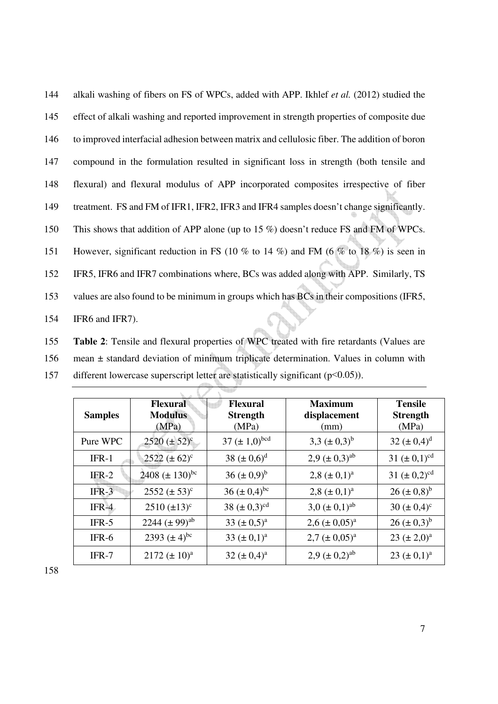| 144 | alkali washing of fibers on FS of WPCs, added with APP. Ikhlef <i>et al.</i> (2012) studied the |
|-----|-------------------------------------------------------------------------------------------------|
| 145 | effect of alkali washing and reported improvement in strength properties of composite due       |
| 146 | to improved interfacial adhesion between matrix and cellulosic fiber. The addition of boron     |
| 147 | compound in the formulation resulted in significant loss in strength (both tensile and          |
| 148 | flexural) and flexural modulus of APP incorporated composites irrespective of fiber             |
| 149 | treatment. FS and FM of IFR1, IFR2, IFR3 and IFR4 samples doesn't change significantly.         |
| 150 | This shows that addition of APP alone (up to 15 $\%$ ) doesn't reduce FS and FM of WPCs.        |
| 151 | However, significant reduction in FS (10 % to 14 %) and FM (6 % to 18 %) is seen in             |
| 152 | IFR5, IFR6 and IFR7 combinations where, BCs was added along with APP. Similarly, TS             |
| 153 | values are also found to be minimum in groups which has BCs in their compositions (IFR5,        |
| 154 | IFR6 and IFR7).                                                                                 |

155 **Table 2**: Tensile and flexural properties of WPC treated with fire retardants (Values are 156 mean ± standard deviation of minimum triplicate determination. Values in column with

| <b>Samples</b> | <b>Flexural</b><br><b>Modulus</b><br>(MPa) | <b>Flexural</b><br><b>Strength</b><br>(MPa) | <b>Maximum</b><br>displacement<br>(mm) | <b>Tensile</b><br><b>Strength</b><br>(MPa) |
|----------------|--------------------------------------------|---------------------------------------------|----------------------------------------|--------------------------------------------|
| Pure WPC       | $2520 (\pm 52)^{\circ}$                    | 37 $(\pm 1,0)^{bcd}$                        | 3,3 $(\pm 0.3)^b$                      | 32 $(\pm 0.4)^d$                           |
| $IFR-1$        | $2522 \ (\pm 62)^c$                        | 38 $(\pm 0.6)^d$                            | $2,9 \ (\pm 0,3)^{ab}$                 | 31 $(\pm 0,1)^{cd}$                        |
| $IFR-2$        | 2408 $(\pm 130)^{bc}$                      | 36 $(\pm 0.9)^b$                            | $2,8 \ (\pm 0,1)^a$                    | 31 $(\pm 0.2)^{cd}$                        |
| $IFR-3$        | $2552 (\pm 53)^c$                          | 36 $(\pm 0,4)^{bc}$                         | 2,8 $(\pm 0,1)^a$                      | $26 (\pm 0.8)^b$                           |
| $IFR-4$        | $2510 \, (\pm 13)^c$                       | 38 $(\pm 0.3)^{cd}$                         | $3.0 \ (\pm 0.1)^{ab}$                 | 30 ( $\pm$ 0,4) <sup>c</sup>               |
| $IFR-5$        | 2244 $(\pm 99)^{ab}$                       | 33 $(\pm 0.5)^a$                            | $2,6 \ (\pm 0.05)^a$                   | $26 (\pm 0.3)^b$                           |
| $IFR-6$        | 2393 $(\pm 4)^{bc}$                        | 33 $(\pm 0,1)^a$                            | $2.7 \ (\pm 0.05)^a$                   | $23 \ (\pm 2,0)^a$                         |
| $IFR-7$        | $2172 \ (\pm 10)^a$                        | $32 (\pm 0.4)^a$                            | $2.9 \ (\pm 0.2)^{ab}$                 | 23 $(\pm 0,1)^a$                           |

157 different lowercase superscript letter are statistically significant (p<0.05)).

7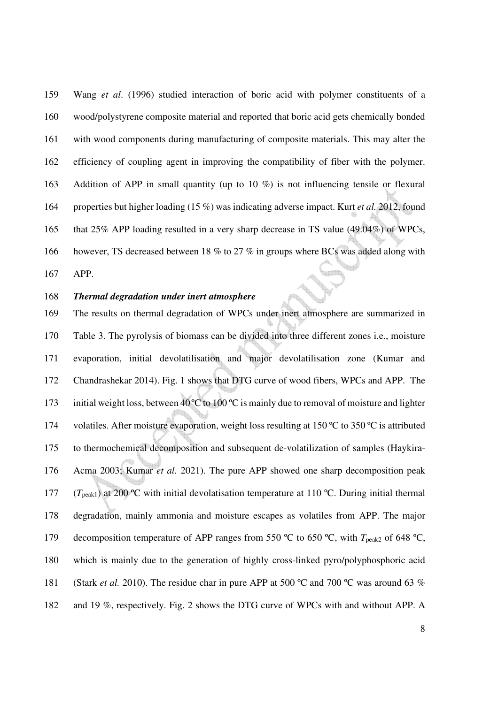159 Wang *et al*. (1996) studied interaction of boric acid with polymer constituents of a 160 wood/polystyrene composite material and reported that boric acid gets chemically bonded 161 with wood components during manufacturing of composite materials. This may alter the 162 efficiency of coupling agent in improving the compatibility of fiber with the polymer. 163 Addition of APP in small quantity (up to 10 %) is not influencing tensile or flexural 164 properties but higher loading (15 %) was indicating adverse impact. Kurt *et al.* 2012, found 165 that 25% APP loading resulted in a very sharp decrease in TS value (49.04%) of WPCs, 166 however, TS decreased between 18 % to 27 % in groups where BCs was added along with

167 APP.

## 168 *Thermal degradation under inert atmosphere*

169 The results on thermal degradation of WPCs under inert atmosphere are summarized in 170 Table 3. The pyrolysis of biomass can be divided into three different zones i.e., moisture 171 evaporation, initial devolatilisation and major devolatilisation zone (Kumar and 172 Chandrashekar 2014). Fig. 1 shows that DTG curve of wood fibers, WPCs and APP.The 173 initial weight loss, between  $40^{\circ}$ C to 100  $^{\circ}$ C is mainly due to removal of moisture and lighter 174 volatiles. After moisture evaporation, weight loss resulting at 150 °C to 350 °C is attributed 175 to thermochemical decomposition and subsequent de-volatilization of samples (Haykira-176 Acma 2003; Kumar *et al.* 2021). The pure APP showed one sharp decomposition peak 177 ( $T_{\text{peak1}}$ ) at 200 °C with initial devolatisation temperature at 110 °C. During initial thermal 178 degradation, mainly ammonia and moisture escapes as volatiles from APP. The major 179 decomposition temperature of APP ranges from 550 °C to 650 °C, with  $T_{\text{peak2}}$  of 648 °C, 180 which is mainly due to the generation of highly cross-linked pyro/polyphosphoric acid 181 (Stark *et al.* 2010). The residue char in pure APP at 500 °C and 700 °C was around 63 % 182 and 19 %, respectively. Fig. 2 shows the DTG curve of WPCs with and without APP. A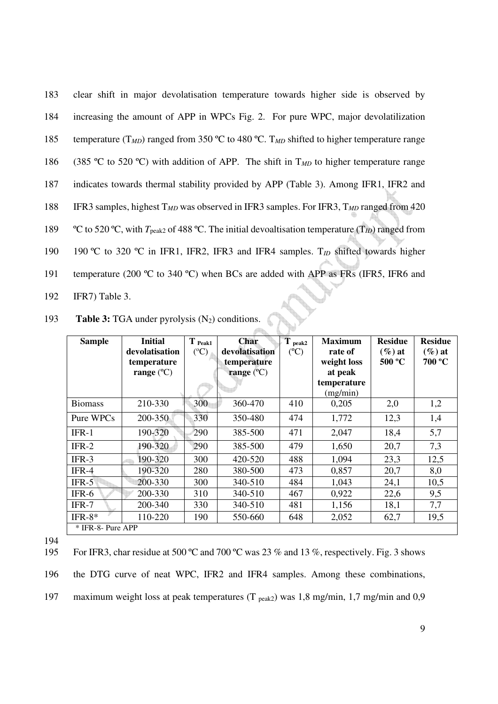| 183 | clear shift in major devolatisation temperature towards higher side is observed by                                     |
|-----|------------------------------------------------------------------------------------------------------------------------|
| 184 | increasing the amount of APP in WPCs Fig. 2. For pure WPC, major devolatilization                                      |
| 185 | temperature (T <sub>MD</sub> ) ranged from 350 °C to 480 °C. T <sub>MD</sub> shifted to higher temperature range       |
| 186 | (385 °C to 520 °C) with addition of APP. The shift in $T_{MD}$ to higher temperature range                             |
| 187 | indicates towards thermal stability provided by APP (Table 3). Among IFR1, IFR2 and                                    |
| 188 | IFR3 samples, highest $T_{MD}$ was observed in IFR3 samples. For IFR3, $T_{MD}$ ranged from 420                        |
| 189 | °C to 520 °C, with $T_{\text{peak2}}$ of 488 °C. The initial devoaltisation temperature (T <sub>ID</sub> ) ranged from |
| 190 | 190 °C to 320 °C in IFR1, IFR2, IFR3 and IFR4 samples. $T_{ID}$ shifted towards higher                                 |
| 191 | temperature (200 °C to 340 °C) when BCs are added with APP as FRs (IFR5, IFR6 and                                      |
| 192 | IFR7) Table 3.                                                                                                         |

193 **Table 3:** TGA under pyrolysis (N<sub>2</sub>) conditions.

| <b>Sample</b>     | <b>Initial</b>      | $T_{\text{Peak1}}$ | Char                | $T_{\text{peak2}}$ | <b>Maximum</b>          | <b>Residue</b> | <b>Residue</b> |
|-------------------|---------------------|--------------------|---------------------|--------------------|-------------------------|----------------|----------------|
|                   | devolatisation      | $({}^{\circ}C)$    | devolatisation      | $(^{\circ}C)$      | rate of                 | $(\%)$ at      | $(\%)$ at      |
|                   | temperature         |                    | temperature         |                    | weight loss             | 500 °C         | 700 °C         |
|                   | range $(^{\circ}C)$ |                    | range $(^{\circ}C)$ |                    | at peak                 |                |                |
|                   |                     |                    |                     |                    | temperature<br>(mg/min) |                |                |
| <b>Biomass</b>    | 210-330             | 300                | 360-470             | 410                | 0,205                   | 2,0            | 1,2            |
| Pure WPCs         | 200-350             | 330                | 350-480             | 474                | 1,772                   | 12,3           | 1,4            |
| $IFR-1$           | 190-320             | 290                | 385-500             | 471                | 2,047                   | 18,4           | 5,7            |
| $IFR-2$           | 190-320             | 290                | 385-500             | 479                | 1,650                   | 20,7           | 7,3            |
| IFR-3             | 190-320             | 300                | 420-520             | 488                | 1,094                   | 23,3           | 12,5           |
| IFR-4             | 190-320             | 280                | 380-500             | 473                | 0,857                   | 20,7           | 8,0            |
| $IFR-5$           | 200-330             | 300                | 340-510             | 484                | 1,043                   | 24,1           | 10,5           |
| IFR-6             | 200-330             | 310                | 340-510             | 467                | 0,922                   | 22,6           | 9,5            |
| IFR-7             | 200-340             | 330                | 340-510             | 481                | 1,156                   | 18,1           | 7,7            |
| IFR- $8*$         | 110-220             | 190                | 550-660             | 648                | 2,052                   | 62,7           | 19,5           |
| * IFR-8- Pure APP |                     |                    |                     |                    |                         |                |                |

194

195 For IFR3, char residue at 500 °C and 700 °C was 23 % and 13 %, respectively. Fig. 3 shows

196 the DTG curve of neat WPC, IFR2 and IFR4 samples. Among these combinations,

197 maximum weight loss at peak temperatures (T <sub>peak2</sub>) was 1,8 mg/min, 1,7 mg/min and 0,9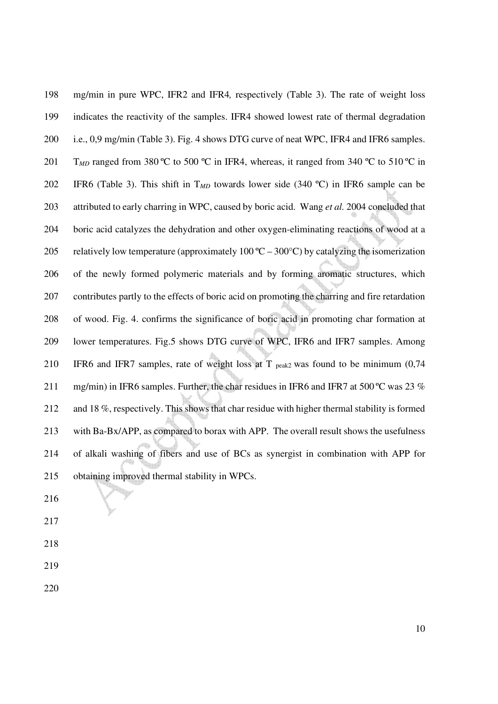198 mg/min in pure WPC, IFR2 and IFR4*,* respectively (Table 3). The rate of weight loss 199 indicates the reactivity of the samples. IFR4 showed lowest rate of thermal degradation 200 i.e., 0,9 mg/min (Table 3). Fig. 4 shows DTG curve of neat WPC, IFR4 and IFR6 samples. 201 T<sub>MD</sub> ranged from 380 °C to 500 °C in IFR4, whereas, it ranged from 340 °C to 510 °C in 202 IFR6 (Table 3). This shift in T*MD* towards lower side (340 ºC) in IFR6 sample can be 203 attributed to early charring in WPC, caused by boric acid. Wang *et al.* 2004 concluded that 204 boric acid catalyzes the dehydration and other oxygen-eliminating reactions of wood at a 205 relatively low temperature (approximately  $100\text{ °C} - 300\text{ °C}$ ) by catalyzing the isomerization 206 of the newly formed polymeric materials and by forming aromatic structures, which 207 contributes partly to the effects of boric acid on promoting the charring and fire retardation 208 of wood. Fig. 4. confirms the significance of boric acid in promoting char formation at 209 lower temperatures. Fig.5 shows DTG curve of WPC, IFR6 and IFR7 samples. Among 210 IFR6 and IFR7 samples, rate of weight loss at T  $_{peak2}$  was found to be minimum (0,74 211 mg/min) in IFR6 samples. Further, the char residues in IFR6 and IFR7 at 500 °C was 23 % 212 and 18 %, respectively. This shows that char residue with higher thermal stability is formed 213 with Ba-Bx/APP, as compared to borax with APP. The overall result shows the usefulness 214 of alkali washing of fibers and use of BCs as synergist in combination with APP for 215 obtaining improved thermal stability in WPCs.

- 216
- 217
- 218
- 219
- 220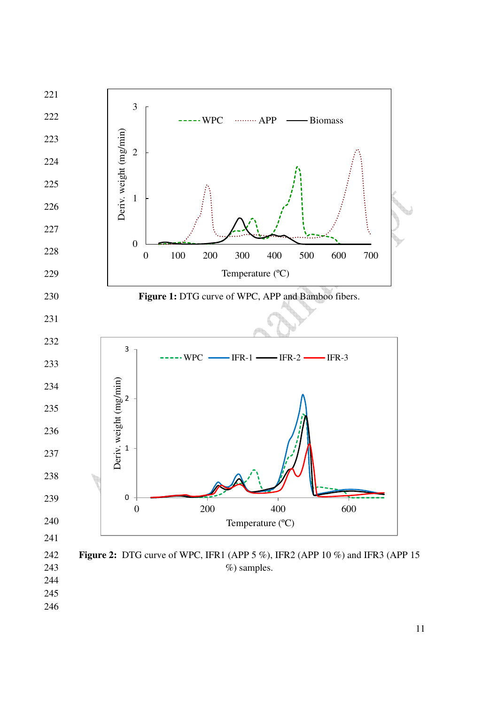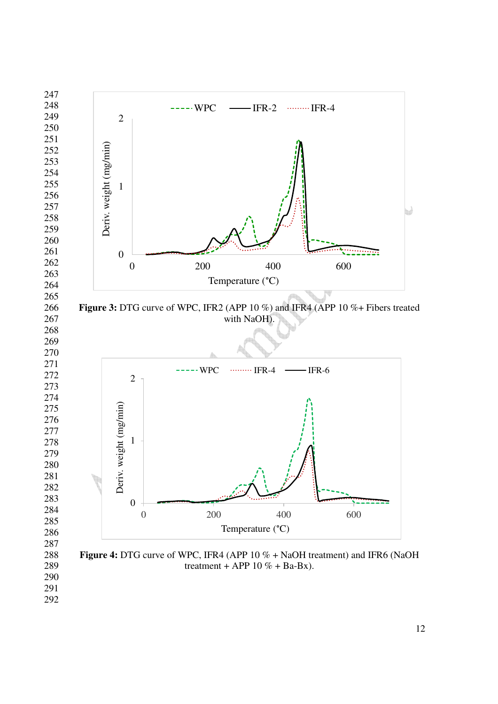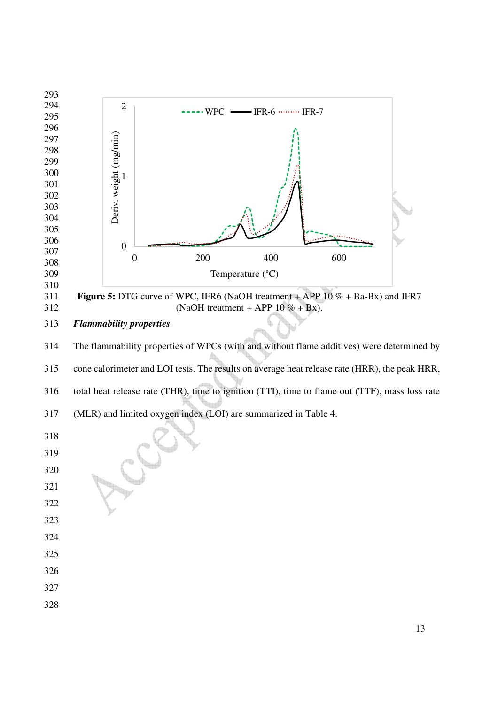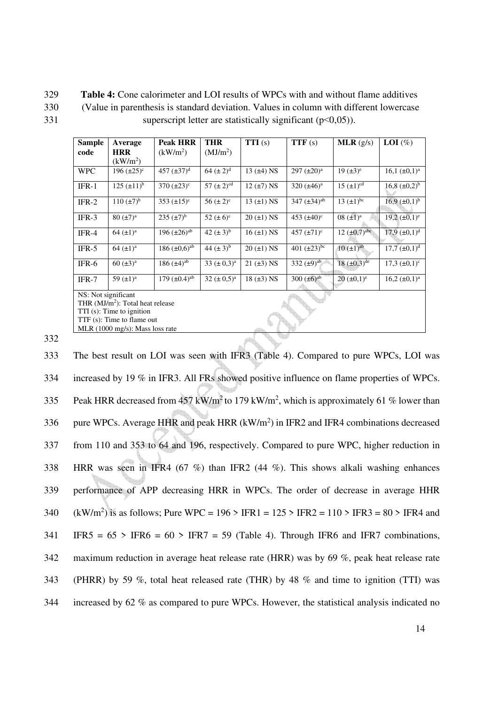329 **Table 4:** Cone calorimeter and LOI results of WPCs with and without flame additives 330 (Value in parenthesis is standard deviation. Values in column with different lowercase 331 superscript letter are statistically significant ( $p<0,05$ )).

| <b>Sample</b><br>code                        | Average<br><b>HRR</b>       | <b>Peak HRR</b><br>(kW/m <sup>2</sup> ) | <b>THR</b><br>(MJ/m <sup>2</sup> ) | TTI(s)             | TTF(s)                | MLR(g/s)                      | <b>LOI</b> $(\%)$      |  |  |  |
|----------------------------------------------|-----------------------------|-----------------------------------------|------------------------------------|--------------------|-----------------------|-------------------------------|------------------------|--|--|--|
|                                              | $\rm (kW/m^2)$              |                                         |                                    |                    |                       |                               |                        |  |  |  |
| <b>WPC</b>                                   | 196 $(\pm 25)^c$            | 457 $(\pm 37)^d$                        | 64 $(\pm 2)^d$                     | 13 $(\pm 4)$ NS    | 297 $(\pm 20)^a$      | 19 $(\pm 3)^e$                | 16,1 $(\pm 0.1)^a$     |  |  |  |
| $IFR-1$                                      | $125 \ (\pm 11)^{b}$        | $370 \ (\pm 23)^c$                      | 57 $(\pm 2)^{cd}$                  | $12 \ (\pm 7) NS$  | 320 $(\pm 46)^a$      | $15 \ (\pm 1)^{cd}$           | 16,8 $(\pm 0.2)^{b}$   |  |  |  |
| $IFR-2$                                      | $110 \, (\pm 7)^b$          | 353 $(\pm 15)^c$                        | 56 $(\pm 2)^{c}$                   | 13 $(\pm 1)$ NS    | 347 $(\pm 34)^{ab}$   | 13 $(\pm 1)^{bc}$             | $16.9 \ (\pm 0.1)^{b}$ |  |  |  |
| $IFR-3$                                      | $80 \ (\pm 7)^a$            | $235 \, (\pm 7)^b$                      | 52 $(\pm 6)^c$                     | $20$ ( $\pm$ 1) NS | 453 $(\pm 40)^c$      | $08 \ (\pm 1)^a$              | $19,2 \ (\pm 0,1)^e$   |  |  |  |
| $IFR-4$                                      | $64 \ (\pm 1)^a$            | 196 $(\pm 26)^{ab}$                     | 42 $(\pm 3)^{b}$                   | $16 (\pm 1)$ NS    | 457 $(\pm 71)^c$      | $12 \ (\pm 0.7)^{\text{abc}}$ | $17,9 \ (\pm 0,1)^d$   |  |  |  |
| $IFR-5$                                      | 64 $(\pm 1)^a$              | 186 $(\pm 0.6)^{ab}$                    | 44 $(\pm 3)^{b}$                   | $20$ ( $\pm$ 1) NS | 401 $(\pm 23)^{bc}$   | $10 \, (\pm 1)^{ab}$          | $17,7 \, (\pm 0,1)^d$  |  |  |  |
| $IFR-6$                                      | 60 $(\pm 3)^a$              | 186 $(\pm 4)^{ab}$                      | $33~(\pm 0.3)^a$                   | $21 (\pm 3)$ NS    | 332 $(\pm 9)^{ab}$    | 18 $(\pm 0.3)$ <sup>de</sup>  | $17,3 \ (\pm 0,1)^c$   |  |  |  |
| $IFR-7$                                      | 59 $(\pm 1)^a$              | 179 $(\pm 0.4)^{ab}$                    | $32 \ (\pm 0.5)^a$                 | $18 \ (\pm 3) NS$  | $300 \, (\pm 6)^{ab}$ | $20 \ (\pm 0.1)^e$            | $16,2 \ (\pm 0,1)^a$   |  |  |  |
|                                              | NS: Not significant         |                                         |                                    |                    |                       |                               |                        |  |  |  |
| THR (MJ/m <sup>2</sup> ): Total heat release |                             |                                         |                                    |                    |                       |                               |                        |  |  |  |
|                                              | $TTI(s)$ : Time to ignition |                                         |                                    |                    |                       |                               |                        |  |  |  |
| TTF (s): Time to flame out                   |                             |                                         |                                    |                    |                       |                               |                        |  |  |  |

332

MLR (1000 mg/s): Mass loss rate

333 The best result on LOI was seen with IFR3 (Table 4). Compared to pure WPCs, LOI was 334 increased by 19 % in IFR3. All FRs showed positive influence on flame properties of WPCs. 335 Peak HRR decreased from  $457 \text{ kW/m}^2$  to 179 kW/m<sup>2</sup>, which is approximately 61 % lower than 336 pure WPCs. Average HHR and peak HRR  $(kW/m^2)$  in IFR2 and IFR4 combinations decreased 337 from 110 and 353 to 64 and 196, respectively. Compared to pure WPC, higher reduction in 338 HRR was seen in IFR4 (67 %) than IFR2 (44 %). This shows alkali washing enhances 339 performance of APP decreasing HRR in WPCs. The order of decrease in average HHR 340 (kW/m<sup>2</sup>) is as follows; Pure WPC = 196 > IFR1 = 125 > IFR2 = 110 > IFR3 = 80 > IFR4 and  $341$  IFR5 = 65 > IFR6 = 60 > IFR7 = 59 (Table 4). Through IFR6 and IFR7 combinations, 342 maximum reduction in average heat release rate (HRR) was by 69 %, peak heat release rate 343 (PHRR) by 59 %, total heat released rate (THR) by 48 % and time to ignition (TTI) was 344 increased by 62 % as compared to pure WPCs. However, the statistical analysis indicated no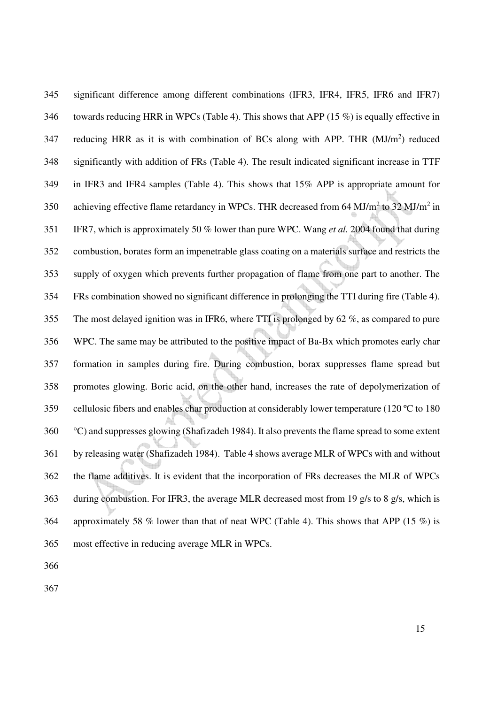345 significant difference among different combinations (IFR3, IFR4, IFR5, IFR6 and IFR7) 346 towards reducing HRR in WPCs (Table 4). This shows that APP (15 %) is equally effective in 347 reducing HRR as it is with combination of BCs along with APP. THR  $(MJ/m<sup>2</sup>)$  reduced 348 significantly with addition of FRs (Table 4). The result indicated significant increase in TTF 349 in IFR3 and IFR4 samples (Table 4). This shows that 15% APP is appropriate amount for 350 achieving effective flame retardancy in WPCs. THR decreased from 64 MJ/m<sup>2</sup> to 32 MJ/m<sup>2</sup> in 351 IFR7, which is approximately 50 % lower than pure WPC. Wang *et al.* 2004 found that during 352 combustion, borates form an impenetrable glass coating on a materials surface and restricts the 353 supply of oxygen which prevents further propagation of flame from one part to another. The 354 FRs combination showed no significant difference in prolonging the TTI during fire (Table 4). 355 The most delayed ignition was in IFR6, where TTI is prolonged by 62 %, as compared to pure 356 WPC. The same may be attributed to the positive impact of Ba-Bx which promotes early char 357 formation in samples during fire. During combustion, borax suppresses flame spread but 358 promotes glowing. Boric acid, on the other hand, increases the rate of depolymerization of 359 cellulosic fibers and enables char production at considerably lower temperature (120 ºC to 180 360 °C) and suppresses glowing (Shafizadeh 1984). It also prevents the flame spread to some extent 361 by releasing water (Shafizadeh 1984). Table 4 shows average MLR of WPCs with and without 362 the flame additives. It is evident that the incorporation of FRs decreases the MLR of WPCs 363 during combustion. For IFR3, the average MLR decreased most from 19 g/s to 8 g/s, which is 364 approximately 58 % lower than that of neat WPC (Table 4). This shows that APP (15 %) is 365 most effective in reducing average MLR in WPCs.

366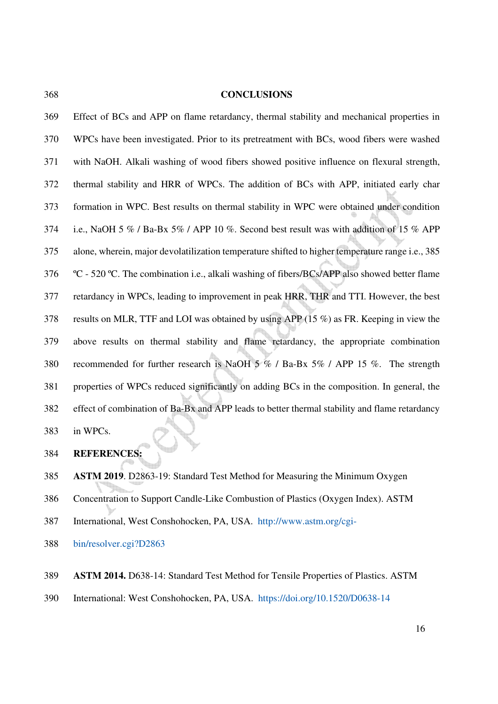### 368 **CONCLUSIONS**

369 Effect of BCs and APP on flame retardancy, thermal stability and mechanical properties in 370 WPCs have been investigated. Prior to its pretreatment with BCs, wood fibers were washed 371 with NaOH. Alkali washing of wood fibers showed positive influence on flexural strength, 372 thermal stability and HRR of WPCs. The addition of BCs with APP, initiated early char 373 formation in WPC. Best results on thermal stability in WPC were obtained under condition 374 i.e., NaOH 5 % / Ba-Bx 5% / APP 10 %. Second best result was with addition of 15 % APP 375 alone, wherein, major devolatilization temperature shifted to higher temperature range i.e., 385 376 °C - 520 °C. The combination i.e., alkali washing of fibers/BCs/APP also showed better flame 377 retardancy in WPCs, leading to improvement in peak HRR, THR and TTI. However, the best 378 results on MLR, TTF and LOI was obtained by using APP (15 %) as FR. Keeping in view the 379 above results on thermal stability and flame retardancy, the appropriate combination 380 recommended for further research is NaOH 5 % / Ba-Bx 5% / APP 15 %. The strength 381 properties of WPCs reduced significantly on adding BCs in the composition. In general, the 382 effect of combination of Ba-Bx and APP leads to better thermal stability and flame retardancy 383 in WPCs.

384 **REFERENCES:**

385 **ASTM 2019**. D2863-19: Standard Test Method for Measuring the Minimum Oxygen

386 Concentration to Support Candle-Like Combustion of Plastics (Oxygen Index). ASTM

387 International, West Conshohocken, PA, USA. http://www.astm.org/cgi-

388 bin/resolver.cgi?D2863

389 **ASTM 2014.** D638-14: Standard Test Method for Tensile Properties of Plastics. ASTM

390 International: West Conshohocken, PA, USA. https://doi.org/10.1520/D0638-14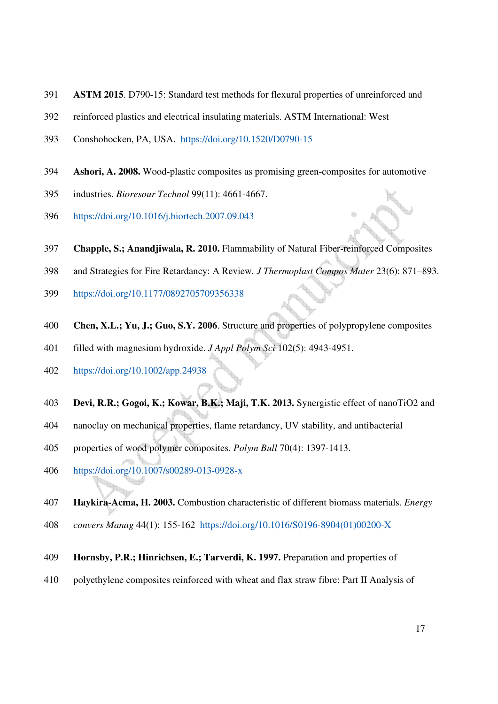- 391 **ASTM 2015**. D790-15: Standard test methods for flexural properties of unreinforced and
- 392 reinforced plastics and electrical insulating materials. ASTM International: West
- 393 Conshohocken, PA, USA. https://doi.org/10.1520/D0790-15
- 394 **Ashori, A. 2008.** Wood-plastic composites as promising green-composites for automotive
- 395 industries. *Bioresour Technol* 99(11): 4661-4667.
- 396 https://doi.org/10.1016/j.biortech.2007.09.043
- 397 **Chapple, S.; Anandjiwala, R. 2010.** Flammability of Natural Fiber-reinforced Composites
- 398 and Strategies for Fire Retardancy: A Review*. J Thermoplast Compos Mater* 23(6): 871–893.
- 399 https://doi.org/10.1177/0892705709356338
- 400 **Chen, X.L.; Yu, J.; Guo, S.Y. 2006**. Structure and properties of polypropylene composites
- 401 filled with magnesium hydroxide. *J Appl Polym Sci* 102(5): 4943-4951.
- 402 https://doi.org/10.1002/app.24938
- 403 **Devi, R.R.; Gogoi, K.; Kowar, B.K.; Maji, T.K. 2013.** Synergistic effect of nanoTiO2 and
- 404 nanoclay on mechanical properties, flame retardancy, UV stability, and antibacterial
- 405 properties of wood polymer composites. *Polym Bull* 70(4): 1397-1413.
- 406 https://doi.org/10.1007/s00289-013-0928-x
- 407 **Haykira-Acma, H. 2003.** Combustion characteristic of different biomass materials. *Energy*
- 408 *convers Manag* 44(1): 155-162 https://doi.org/10.1016/S0196-8904(01)00200-X
- 409 **Hornsby, P.R.; Hinrichsen, E.; Tarverdi, K. 1997.** Preparation and properties of
- 410 polyethylene composites reinforced with wheat and flax straw fibre: Part II Analysis of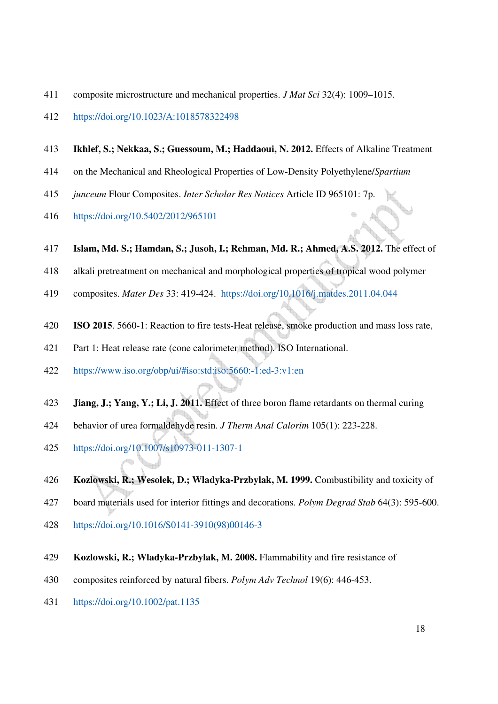- 411 composite microstructure and mechanical properties. *J Mat Sci* 32(4): 1009–1015.
- 412 https://doi.org/10.1023/A:1018578322498
- 413 **Ikhlef, S.; Nekkaa, S.; Guessoum, M.; Haddaoui, N. 2012.** Effects of Alkaline Treatment
- 414 on the Mechanical and Rheological Properties of Low-Density Polyethylene/*Spartium*
- 415 *junceum* Flour Composites. *Inter Scholar Res Notices* Article ID 965101: 7p.
- 416 https://doi.org/10.5402/2012/965101
- 417 **Islam, Md. S.; Hamdan, S.; Jusoh, I.; Rehman, Md. R.; Ahmed, A.S. 2012.** The effect of
- 418 alkali pretreatment on mechanical and morphological properties of tropical wood polymer
- 419 composites. *Mater Des* 33: 419-424. https://doi.org/10.1016/j.matdes.2011.04.044
- 420 **ISO 2015**. 5660-1: Reaction to fire tests-Heat release, smoke production and mass loss rate,
- 421 Part 1: Heat release rate (cone calorimeter method)*.* ISO International.
- 422 https://www.iso.org/obp/ui/#iso:std:iso:5660:-1:ed-3:v1:en
- 423 **Jiang, J.; Yang, Y.; Li, J. 2011.** Effect of three boron flame retardants on thermal curing
- 424 behavior of urea formaldehyde resin. *J Therm Anal Calorim* 105(1): 223-228.
- 425 https://doi.org/10.1007/s10973-011-1307-1
- 426 **Kozlowski, R.; Wesolek, D.; Wladyka-Przbylak, M. 1999.** Combustibility and toxicity of
- 427 board materials used for interior fittings and decorations. *Polym Degrad Stab* 64(3): 595-600.
- 428 https://doi.org/10.1016/S0141-3910(98)00146-3
- 429 **Kozlowski, R.; Wladyka-Przbylak, M. 2008.** Flammability and fire resistance of
- 430 composites reinforced by natural fibers. *Polym Adv Technol* 19(6): 446-453.
- 431 https://doi.org/10.1002/pat.1135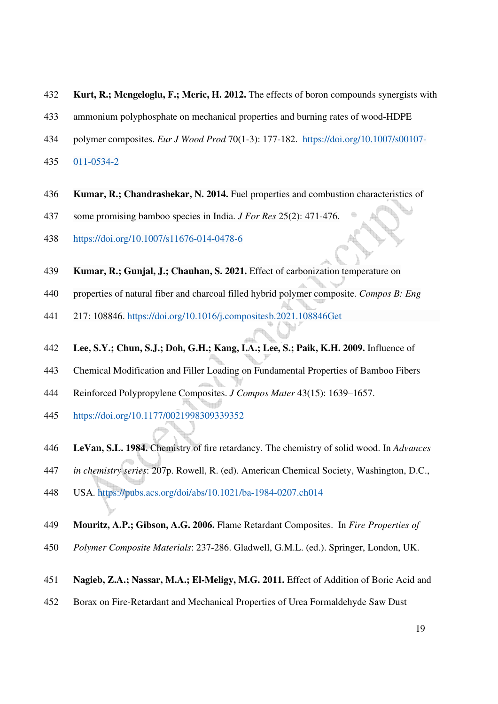- 432 **Kurt, R.; Mengeloglu, F.; Meric, H. 2012.** The effects of boron compounds synergists with
- 433 ammonium polyphosphate on mechanical properties and burning rates of wood-HDPE
- 434 polymer composites. *Eur J Wood Prod* 70(1-3): 177-182. https://doi.org/10.1007/s00107-
- 435 011-0534-2
- 436 **Kumar, R.; Chandrashekar, N. 2014.** Fuel properties and combustion characteristics of
- 437 some promising bamboo species in India. *J For Res* 25(2): 471-476.
- 438 https://doi.org/10.1007/s11676-014-0478-6
- 439 **Kumar, R.; Gunjal, J.; Chauhan, S. 2021.** Effect of carbonization temperature on
- 440 properties of natural fiber and charcoal filled hybrid polymer composite. *Compos B: Eng*
- 441 217: 108846. https://doi.org/10.1016/j.compositesb.2021.108846Get
- 442 **Lee, S.Y.; Chun, S.J.; Doh, G.H.; Kang, I.A.; Lee, S.; Paik, K.H. 2009.** Influence of
- 443 Chemical Modification and Filler Loading on Fundamental Properties of Bamboo Fibers
- 444 Reinforced Polypropylene Composites. *J Compos Mater* 43(15): 1639–1657.
- 445 https://doi.org/10.1177/0021998309339352
- 446 **LeVan, S.L. 1984.** Chemistry of fire retardancy. The chemistry of solid wood. In *Advances*
- 447 *in chemistry series*: 207p. Rowell, R. (ed). American Chemical Society, Washington, D.C.,
- 448 USA. https://pubs.acs.org/doi/abs/10.1021/ba-1984-0207.ch014
- 449 **Mouritz, A.P.; Gibson, A.G. 2006.** Flame Retardant Composites. In *Fire Properties of*
- 450 *Polymer Composite Materials*: 237-286. Gladwell, G.M.L. (ed.). Springer, London, UK.
- 451 **Nagieb, Z.A.; Nassar, M.A.; El-Meligy, M.G. 2011.** Effect of Addition of Boric Acid and
- 452 Borax on Fire-Retardant and Mechanical Properties of Urea Formaldehyde Saw Dust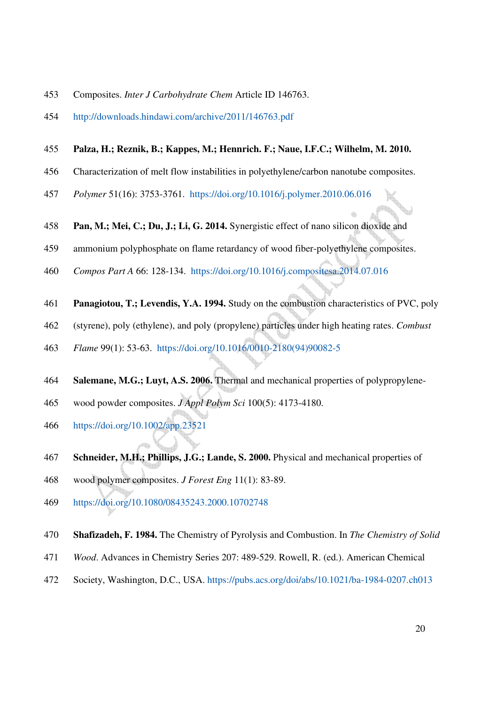- 453 Composites. *Inter J Carbohydrate Chem* Article ID 146763.
- 454 http://downloads.hindawi.com/archive/2011/146763.pdf

#### 455 **Palza, H.; Reznik, B.; Kappes, M.; Hennrich. F.; Naue, I.F.C.; Wilhelm, M. 2010.**

- 456 Characterization of melt flow instabilities in polyethylene/carbon nanotube composites.
- 457 *Polymer* 51(16): 3753-3761. https://doi.org/10.1016/j.polymer.2010.06.016
- 458 **Pan, M.; Mei, C.; Du, J.; Li, G. 2014.** Synergistic effect of nano silicon dioxide and
- 459 ammonium polyphosphate on flame retardancy of wood fiber-polyethylene composites.
- 460 *Compos Part A* 66: 128-134. https://doi.org/10.1016/j.compositesa.2014.07.016
- 461 **Panagiotou, T.; Levendis, Y.A. 1994.** Study on the combustion characteristics of PVC, poly
- 462 (styrene), poly (ethylene), and poly (propylene) particles under high heating rates. *Combust*
- 463 *Flame* 99(1): 53-63. https://doi.org/10.1016/0010-2180(94)90082-5
- 464 **Salemane, M.G.; Luyt, A.S. 2006.** Thermal and mechanical properties of polypropylene-
- 465 wood powder composites. *J Appl Polym Sci* 100(5): 4173-4180.
- 466 https://doi.org/10.1002/app.23521
- 467 **Schneider, M.H.; Phillips, J.G.; Lande, S. 2000.** Physical and mechanical properties of
- 468 wood polymer composites. *J Forest Eng* 11(1): 83-89.
- 469 https://doi.org/10.1080/08435243.2000.10702748
- 470 **Shafizadeh, F. 1984.** The Chemistry of Pyrolysis and Combustion. In *The Chemistry of Solid*
- 471 *Wood*. Advances in Chemistry Series 207: 489-529. Rowell, R. (ed.). American Chemical
- 472 Society, Washington, D.C., USA. https://pubs.acs.org/doi/abs/10.1021/ba-1984-0207.ch013